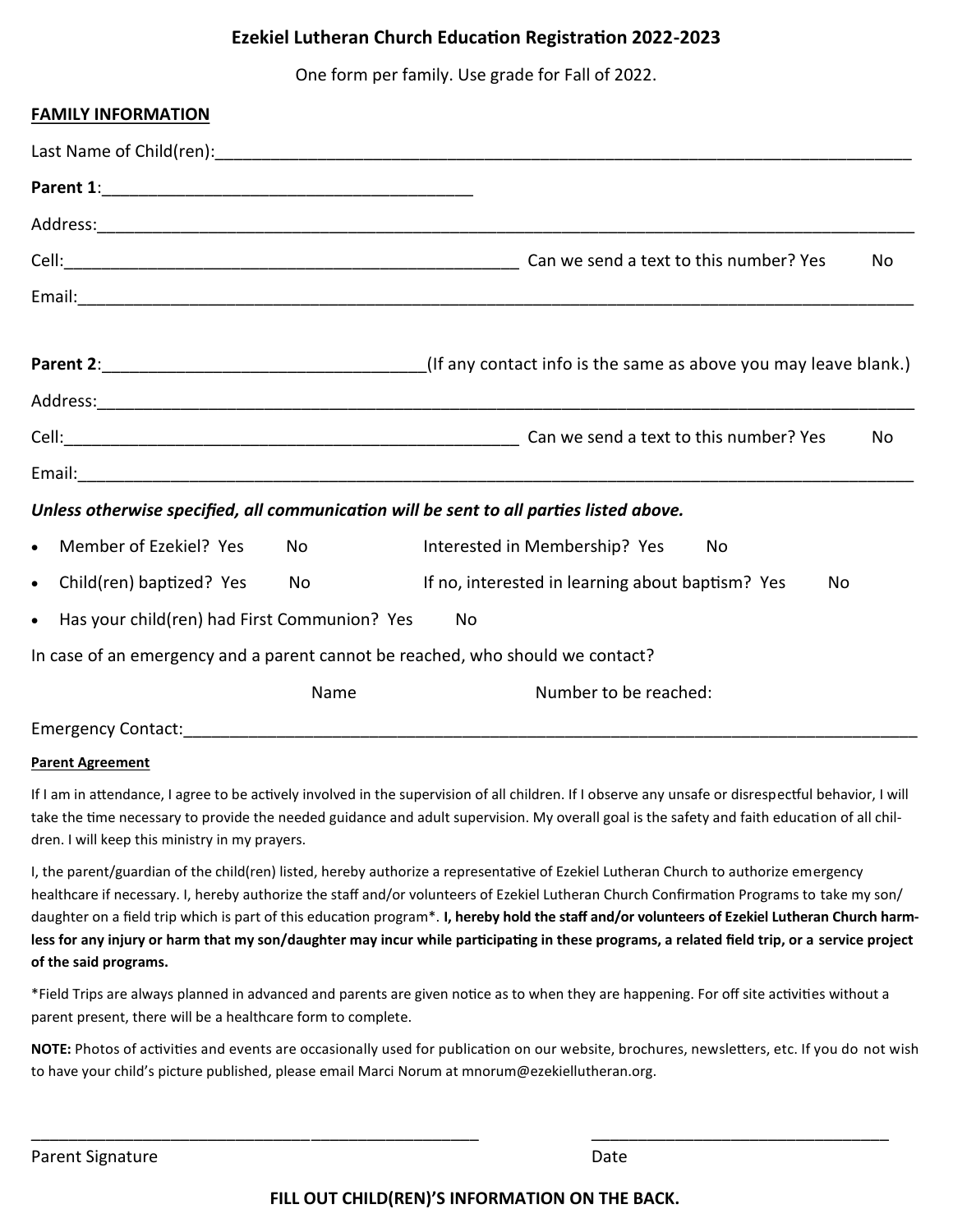## **Ezekiel Lutheran Church Education Registration 2022-2023**

One form per family. Use grade for Fall of 2022.

| <b>FAMILY INFORMATION</b>                                 |           |                                                                                         |
|-----------------------------------------------------------|-----------|-----------------------------------------------------------------------------------------|
|                                                           |           |                                                                                         |
|                                                           |           |                                                                                         |
|                                                           |           |                                                                                         |
|                                                           |           | No                                                                                      |
|                                                           |           |                                                                                         |
|                                                           |           |                                                                                         |
|                                                           |           |                                                                                         |
|                                                           |           | No                                                                                      |
|                                                           |           |                                                                                         |
|                                                           |           | Unless otherwise specified, all communication will be sent to all parties listed above. |
| Member of Ezekiel? Yes<br>$\bullet$                       | <b>No</b> | Interested in Membership? Yes<br>No                                                     |
| Child(ren) baptized? Yes<br>$\bullet$                     | No        | If no, interested in learning about baptism? Yes<br>No                                  |
| Has your child(ren) had First Communion? Yes<br>$\bullet$ |           | No                                                                                      |
|                                                           |           | In case of an emergency and a parent cannot be reached, who should we contact?          |
|                                                           | Name      | Number to be reached:                                                                   |
| <b>Emergency Contact:</b>                                 |           |                                                                                         |

## **Parent Agreement**

If I am in attendance, I agree to be actively involved in the supervision of all children. If I observe any unsafe or disrespectful behavior, I will take the time necessary to provide the needed guidance and adult supervision. My overall goal is the safety and faith education of all children. I will keep this ministry in my prayers.

I, the parent/guardian of the child(ren) listed, hereby authorize a representative of Ezekiel Lutheran Church to authorize emergency healthcare if necessary. I, hereby authorize the staff and/or volunteers of Ezekiel Lutheran Church Confirmation Programs to take my son/ daughter on a field trip which is part of this education program\*. **I, hereby hold the staff and/or volunteers of Ezekiel Lutheran Church harmless for any injury or harm that my son/daughter may incur while participating in these programs, a related field trip, or a service project of the said programs.**

\*Field Trips are always planned in advanced and parents are given notice as to when they are happening. For off site activities without a parent present, there will be a healthcare form to complete.

\_\_\_\_\_\_\_\_\_\_\_\_\_\_\_\_\_\_\_\_\_\_\_\_\_\_\_\_\_\_\_\_\_\_\_\_\_\_\_\_\_\_\_\_\_\_\_\_ \_\_\_\_\_\_\_\_\_\_\_\_\_\_\_\_\_\_\_\_\_\_\_\_\_\_\_\_\_\_\_\_

**NOTE:** Photos of activities and events are occasionally used for publication on our website, brochures, newsletters, etc. If you do not wish to have your child's picture published, please email Marci Norum at mnorum@ezekiellutheran.org.

Parent Signature Date Date of the Date of the Date of the Date Date of the Date of the Date of the Date of the Date of the Date of the Date of the Date of the Date of the Date of the Date of the Date of the Date of the Dat

**FILL OUT CHILD(REN)'S INFORMATION ON THE BACK.**